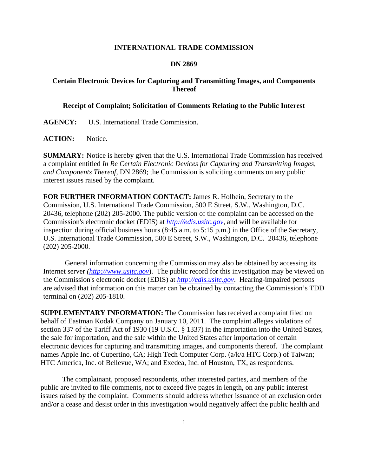## **INTERNATIONAL TRADE COMMISSION**

## **DN 2869**

## **Certain Electronic Devices for Capturing and Transmitting Images, and Components Thereof**

## **Receipt of Complaint; Solicitation of Comments Relating to the Public Interest**

**AGENCY:** U.S. International Trade Commission.

ACTION: Notice.

**SUMMARY:** Notice is hereby given that the U.S. International Trade Commission has received a complaint entitled *In Re Certain Electronic Devices for Capturing and Transmitting Images, and Components Thereof*, DN 2869; the Commission is soliciting comments on any public interest issues raised by the complaint.

**FOR FURTHER INFORMATION CONTACT:** James R. Holbein, Secretary to the Commission, U.S. International Trade Commission, 500 E Street, S.W., Washington, D.C. 20436, telephone (202) 205-2000. The public version of the complaint can be accessed on the Commission's electronic docket (EDIS) at *http://edis.usitc.gov*, and will be available for inspection during official business hours (8:45 a.m. to 5:15 p.m.) in the Office of the Secretary, U.S. International Trade Commission, 500 E Street, S.W., Washington, D.C. 20436, telephone (202) 205-2000.

General information concerning the Commission may also be obtained by accessing its Internet server *(http://www.usitc.gov*). The public record for this investigation may be viewed on the Commission's electronic docket (EDIS) at *http://edis.usitc.gov*. Hearing-impaired persons are advised that information on this matter can be obtained by contacting the Commission's TDD terminal on (202) 205-1810.

**SUPPLEMENTARY INFORMATION:** The Commission has received a complaint filed on behalf of Eastman Kodak Company on January 10, 2011. The complaint alleges violations of section 337 of the Tariff Act of 1930 (19 U.S.C. § 1337) in the importation into the United States, the sale for importation, and the sale within the United States after importation of certain electronic devices for capturing and transmitting images, and components thereof. The complaint names Apple Inc. of Cupertino, CA; High Tech Computer Corp. (a/k/a HTC Corp.) of Taiwan; HTC America, Inc. of Bellevue, WA; and Exedea, Inc. of Houston, TX, as respondents.

 The complainant, proposed respondents, other interested parties, and members of the public are invited to file comments, not to exceed five pages in length, on any public interest issues raised by the complaint. Comments should address whether issuance of an exclusion order and/or a cease and desist order in this investigation would negatively affect the public health and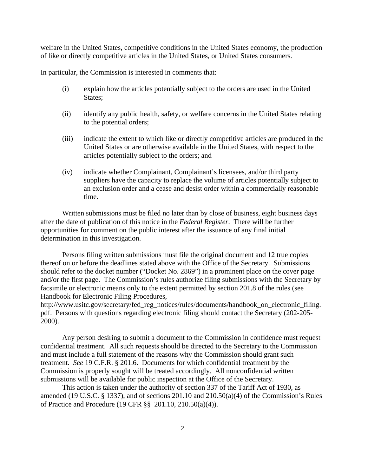welfare in the United States, competitive conditions in the United States economy, the production of like or directly competitive articles in the United States, or United States consumers.

In particular, the Commission is interested in comments that:

- (i) explain how the articles potentially subject to the orders are used in the United States;
- (ii) identify any public health, safety, or welfare concerns in the United States relating to the potential orders;
- (iii) indicate the extent to which like or directly competitive articles are produced in the United States or are otherwise available in the United States, with respect to the articles potentially subject to the orders; and
- (iv) indicate whether Complainant, Complainant's licensees, and/or third party suppliers have the capacity to replace the volume of articles potentially subject to an exclusion order and a cease and desist order within a commercially reasonable time.

 Written submissions must be filed no later than by close of business, eight business days after the date of publication of this notice in the *Federal Register*. There will be further opportunities for comment on the public interest after the issuance of any final initial determination in this investigation.

 Persons filing written submissions must file the original document and 12 true copies thereof on or before the deadlines stated above with the Office of the Secretary. Submissions should refer to the docket number ("Docket No. 2869") in a prominent place on the cover page and/or the first page. The Commission's rules authorize filing submissions with the Secretary by facsimile or electronic means only to the extent permitted by section 201.8 of the rules (see Handbook for Electronic Filing Procedures,

http://www.usitc.gov/secretary/fed\_reg\_notices/rules/documents/handbook\_on\_electronic\_filing. pdf. Persons with questions regarding electronic filing should contact the Secretary (202-205- 2000).

 Any person desiring to submit a document to the Commission in confidence must request confidential treatment. All such requests should be directed to the Secretary to the Commission and must include a full statement of the reasons why the Commission should grant such treatment. *See* 19 C.F.R. § 201.6. Documents for which confidential treatment by the Commission is properly sought will be treated accordingly. All nonconfidential written submissions will be available for public inspection at the Office of the Secretary.

This action is taken under the authority of section 337 of the Tariff Act of 1930, as amended (19 U.S.C. § 1337), and of sections 201.10 and 210.50(a)(4) of the Commission's Rules of Practice and Procedure (19 CFR §§ 201.10, 210.50(a)(4)).